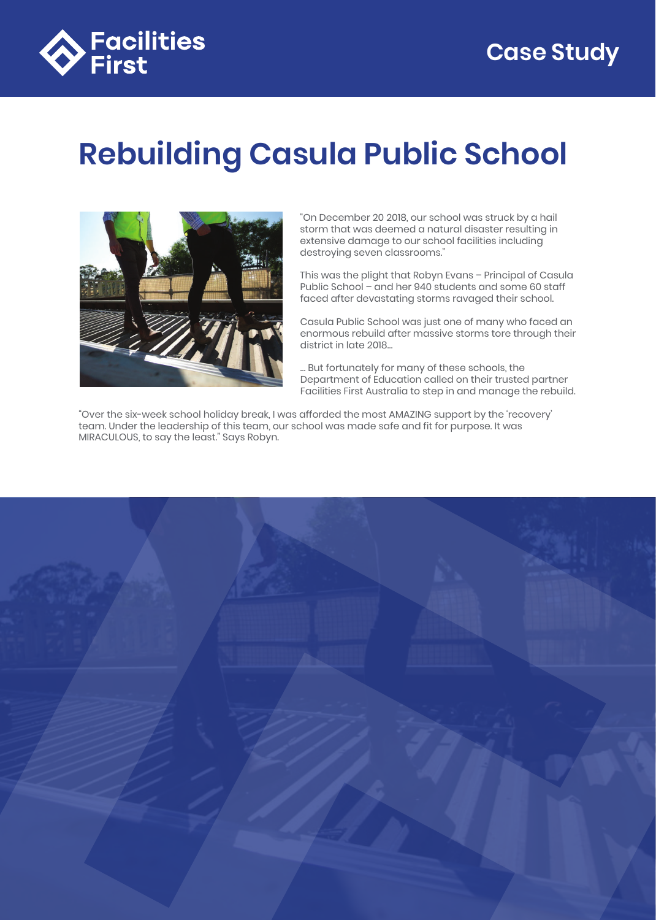

# **Rebuilding Casula Public School**



"On December 20 2018, our school was struck by a hail storm that was deemed a natural disaster resulting in extensive damage to our school facilities including destroying seven classrooms."

This was the plight that Robyn Evans – Principal of Casula Public School – and her 940 students and some 60 staff faced after devastating storms ravaged their school.

Casula Public School was just one of many who faced an enormous rebuild after massive storms tore through their district in late 2018…

… But fortunately for many of these schools, the Department of Education called on their trusted partner Facilities First Australia to step in and manage the rebuild.

"Over the six-week school holiday break, I was afforded the most AMAZING support by the 'recovery' team. Under the leadership of this team, our school was made safe and fit for purpose. It was MIRACULOUS, to say the least." Says Robyn.

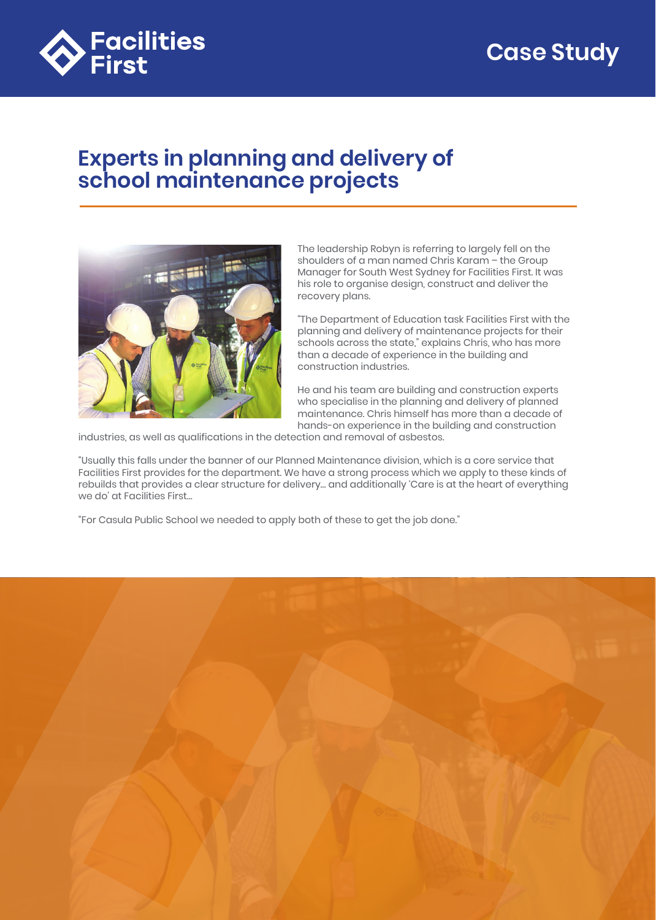

## **Experts in planning and delivery of school maintenance projects**



The leadership Robyn is referring to largely fell on the shoulders of a man named Chris Karam – the Group Manager for South West Sydney for Facilities First. It was his role to organise design, construct and deliver the recovery plans.

"The Department of Education task Facilities First with the planning and delivery of maintenance projects for their schools across the state," explains Chris, who has more than a decade of experience in the building and construction industries.

He and his team are building and construction experts who specialise in the planning and delivery of planned maintenance. Chris himself has more than a decade of hands-on experience in the building and construction

industries, as well as qualifications in the detection and removal of asbestos.

"Usually this falls under the banner of our Planned Maintenance division, which is a core service that Facilities First provides for the department. We have a strong process which we apply to these kinds of rebuilds that provides a clear structure for delivery… and additionally 'Care is at the heart of everything we do' at Facilities First…

"For Casula Public School we needed to apply both of these to get the job done."

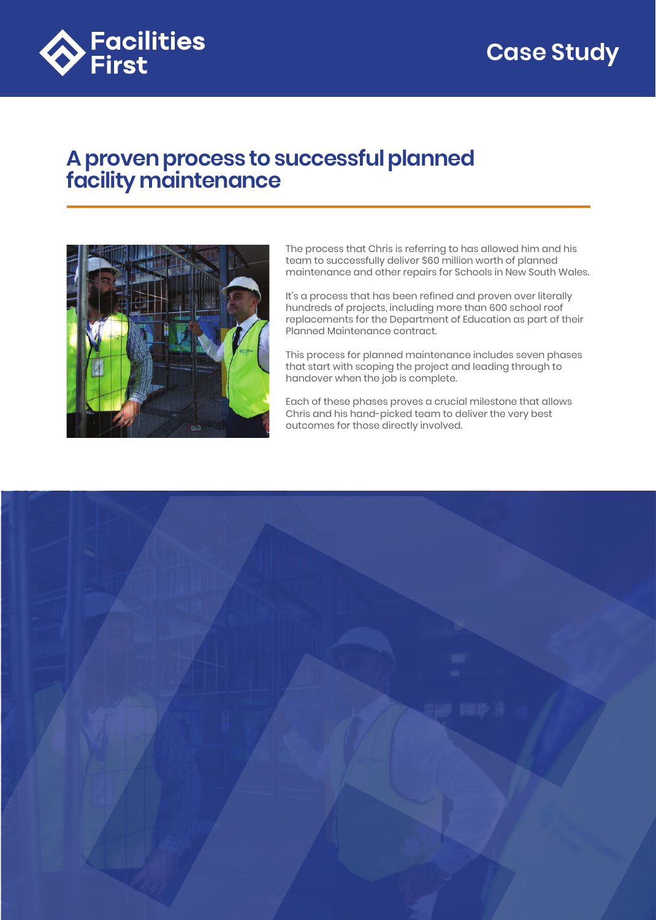

## **A proven process to successful planned facility maintenance**



The process that Chris is referring to has allowed him and his team to successfully deliver \$60 million worth of planned maintenance and other repairs for Schools in New South Wales.

It's a process that has been refined and proven over literally hundreds of projects, including more than 600 school roof replacements for the Department of Education as part of their Planned Maintenance contract.

This process for planned maintenance includes seven phases that start with scoping the project and leading through to handover when the job is complete.

Each of these phases proves a crucial milestone that allows Chris and his hand-picked team to deliver the very best outcomes for those directly involved.

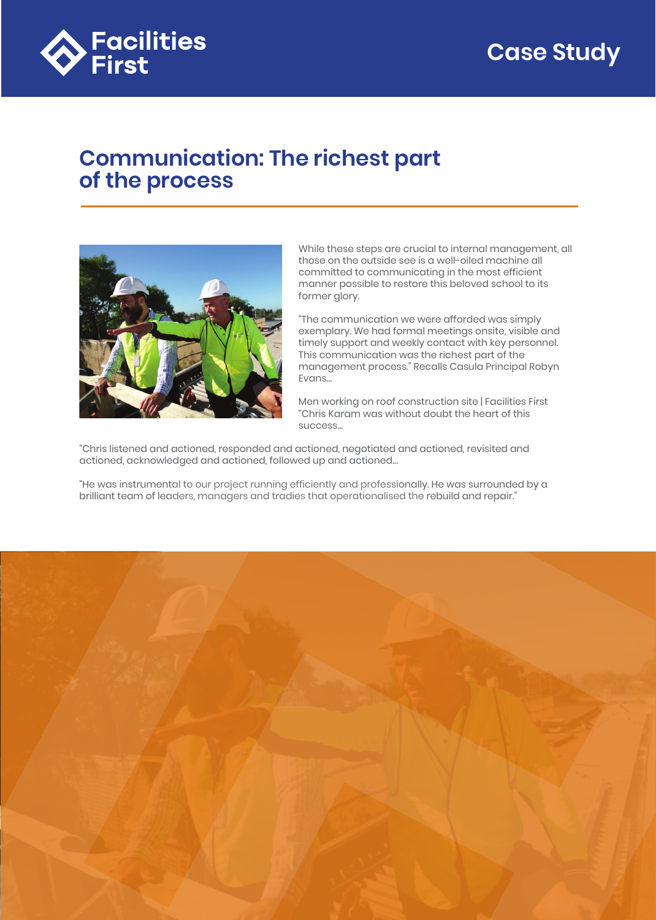

#### **Communication: The richest part of the process**



While these steps are crucial to internal management, all those on the outside see is a well-oiled machine all committed to communicating in the most efficient manner possible to restore this beloved school to its former glory.

"The communication we were afforded was simply exemplary. We had formal meetings onsite, visible and timely support and weekly contact with key personnel. This communication was the richest part of the management process." Recalls Casula Principal Robyn Evans…

Men working on roof construction site | Facilities First "Chris Karam was without doubt the heart of this success…

"Chris listened and actioned, responded and actioned, negotiated and actioned, revisited and actioned, acknowledged and actioned, followed up and actioned…

"He was instrumental to our project running efficiently and professionally. He was surrounded by a brilliant team of leaders, managers and tradies that operationalised the rebuild and repair."

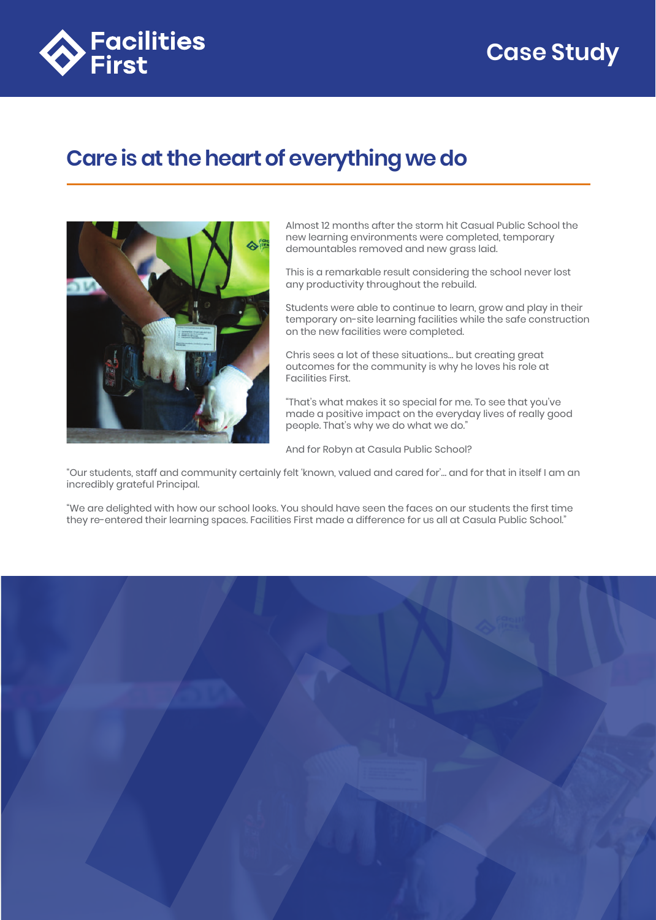

# **Care is at the heart of everything we do**



Almost 12 months after the storm hit Casual Public School the new learning environments were completed, temporary demountables removed and new grass laid.

This is a remarkable result considering the school never lost any productivity throughout the rebuild.

Students were able to continue to learn, grow and play in their temporary on-site learning facilities while the safe construction on the new facilities were completed.

Chris sees a lot of these situations… but creating great outcomes for the community is why he loves his role at Facilities First.

"That's what makes it so special for me. To see that you've made a positive impact on the everyday lives of really good people. That's why we do what we do."

And for Robyn at Casula Public School?

"Our students, staff and community certainly felt 'known, valued and cared for'… and for that in itself I am an incredibly grateful Principal.

"We are delighted with how our school looks. You should have seen the faces on our students the first time they re-entered their learning spaces. Facilities First made a difference for us all at Casula Public School."